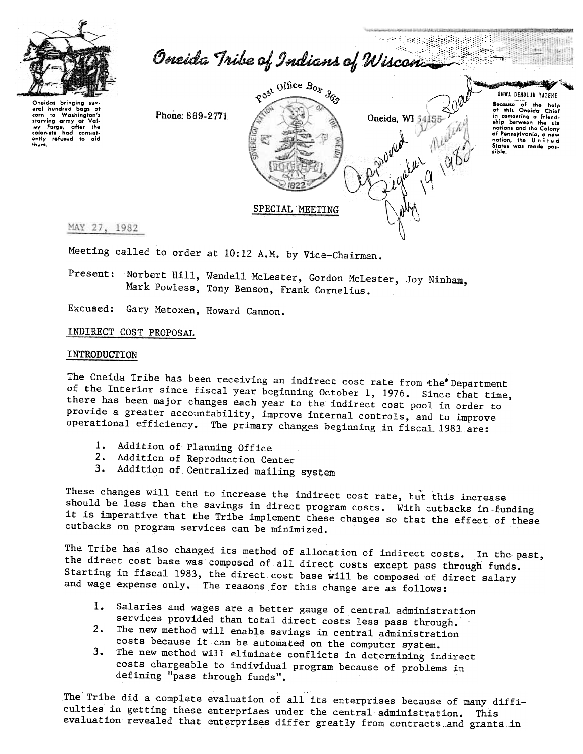

Oneida Tribe of Indians of Wiscon.

Oneidas bringing sev-<br>eral hundred bags of Washington's  $\mathbf{a}$ corn starving army at Val-<br>starving army at Val-<br>ley Forge, after the icy Forge, after the colonists had consistently refused to aid them.

Phone: 869-2771



**UGWA DENOLUN YATENE** Bocause of the help<br>of this Oneida Chief<br>in comenting a friend-<br>ship between the six ship perween me six<br>nations and the Colony<br>of Pennsylvania, a new<br>nation, the United States was made possible.

58対戦

ونسعف

MAY 27, 1982

Meeting called to order at 10:12 A.M. by Vice-Chairman.

Present: Norbert Hill, Wendell McLester, Gordon McLester, Joy Ninham, Mark Powless, Tony Benson, Frank Cornelius.

Excused: Gary Metoxen, Howard Cannon.

INDIRECT COST PROPOSAL

## INTRODUCTION

The Oneida Tribe has been receiving an indirect cost rate from the Department of the Interior since fiscal year beginning October 1, 1976. Since that time, there has been major changes each year to the indirect cost pool in order to provide a greater accountability, improve internal controls, and to improve operational efficiency. The primary changes beginning in fiscal 1983 are:

- 1. Addition of Planning Office
- 2. Addition of Reproduction Center
- 3. Addition of Centralized mailing system

These changes will tend to increase the indirect cost rate, but this increase should be less than the savings in direct program costs. With cutbacks in funding it is imperative that the Tribe implement these changes so that the effect of these cutbacks on program services can be minimized.

The Tribe has also changed its method of allocation of indirect costs. In the past, the direct cost base was composed of all direct costs except pass through funds. Starting in fiscal 1983, the direct cost base will be composed of direct salary and wage expense only. The reasons for this change are as follows:

- 1. Salaries and wages are a better gauge of central administration services provided than total direct costs less pass through.
- 2. The new method will enable savings in central administration costs because it can be automated on the computer system.
- The new method will eliminate conflicts in determining indirect  $3.$ costs chargeable to individual program because of problems in defining "pass through funds".

The Tribe did a complete evaluation of all its enterprises because of many difficulties in getting these enterprises under the central administration. This evaluation revealed that enterprises differ greatly from contracts and grants in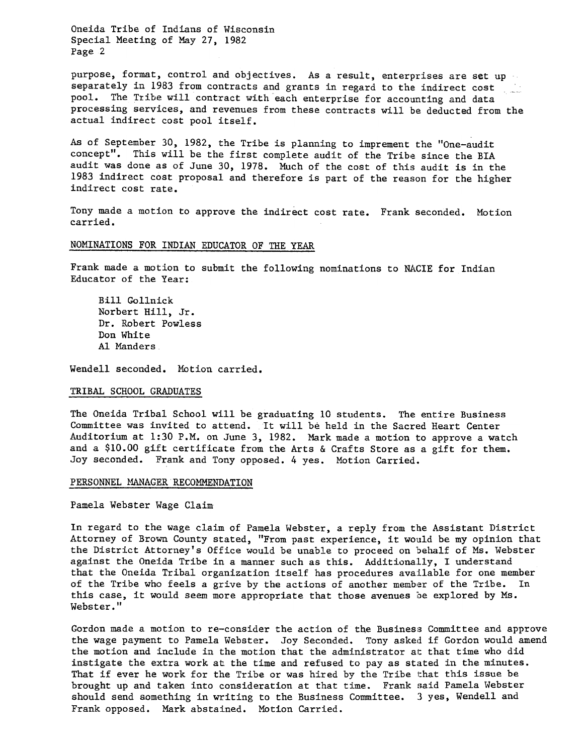Oneida Tribe of Indians of Wisconsin Special Meeting of May 27, 1982 Page 2

purpose, format, control and objectives. As a result, enterprises are set up separately in 1983 from contracts and grants in regard to the indirect cost pool. The Tribe will contract with each enterprise for accounting and data processing services, and revenues from these contracts will be deducted from the actual indirect cost pool itself.

As of September 30, 1982, the Tribe is planning to imprement the "One-audit concept". This will be the first complete audit of the Tribe since the BIA audit was done as of June 30, 1978. Much of the cost of this audit is in the 1983 indirect cost proposal and therefore is part of the reason for the higher indirect cost rate.

Tony made a motion to approve the indirect cost rate. Frank seconded. Motion carried.

# NOMINATIONS FOR INDIAN EDUCATOR OF THE YEAR

Frank made a motion to submit the following nominations to NACIE for Indian Educator of the Year:

Bill Gollnick Norbert Hill, Jr. Dr. Robert Powless Don White Al Manders

Wendell seconded. Motion carried.

## TRIBAL SCHOOL GRADUATES

The Oneida Tribal School will be graduating 10 students. The entire Business Committee was invited to attend. 'It will be held in the Sacred Heart Center Auditorium at 1:30 P.M. on June 3, 1982. Mark made a motion to approve a watch and a \$10.00 gift certificate from the Arts & Crafts Store as a gift for them. Joy seconded. Frank and Tony opposed. 4 yes. Motion Carried.

#### PERSONNEL MANAGER RECOMMENDATION

Pamela Webster Wage Claim

In regard to the wage claim of Pamela Webster, a reply from the Assistant District Attorney of Brown County stated, "From past experience, it would be my opinion that the District Attorney's Office would be unable to proceed on 'behalf of Ms. Webster against the Oneida Tribe in a manner such as this. Additionally, I understand that the Oneida Tribal organization itself has procedures available for one member of the Tribe who feels a grive by the actions of another member of the Tribe. In this case, it would seem more appropriate that those avenues be explored by Ms. Webster."

Gordon made a motion to re-consider the action of the Business Committee and approve the wage payment to Pamela Webster. Joy Seconded. Tony asked if Gordon would amend the motion and include in the motion that the administrator at that time who did instigate the extra work at the time and refused to pay as stated in the minutes. That if ever he work for the Tribe or was hired by the Tribe that this issue be brought up and taken into consideration at that time. Frank said Pamela Webster should send something in writing to the Business Committee. 3 yes, Wendell and Frank opposed. Mark abstained. MOtion Carried.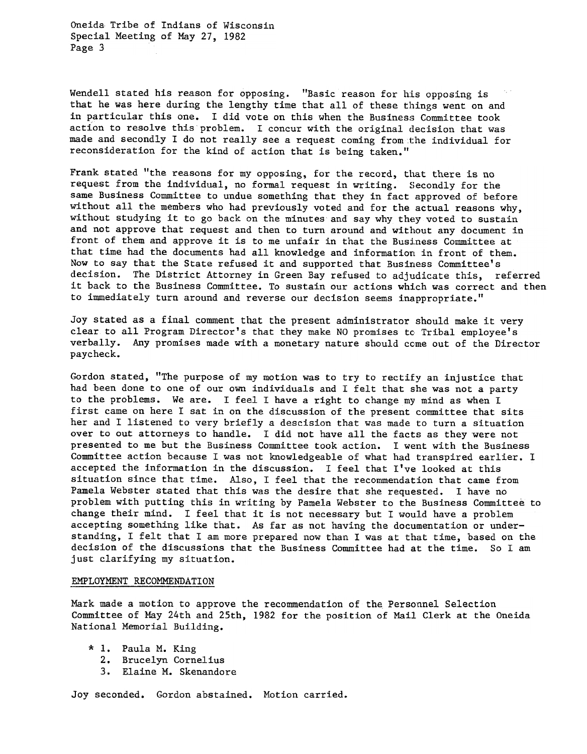Oneida Tribe of Indians of Wisconsin Special Meeting of May 27, 1982 Page 3

Wendell stated his reason for opposing. "Basic reason for his opposing is that he was here during the lengthy time that all of these things went on and in particular this one. I did vote on this when the Business Committee took action to resolve this problem. I concur with the original decision that was made and secondly I do not really see a request coming from the individual fo reconsideration for the kind of action that is being taken."

Frank stated "the reasons for my opposing, for the record, that there is no request from the individual, no formal request in writing. Secondly for the same Business Committee to undue something that they in fact approved of before without all the members who had previously voted and for the actual reasons why, without studying it to go back on the minutes and say why they voted to sustain and not approve that request and then to turn around and without any document in front of them and approve it is to me unfair in that the Business Committee at that time had the documents had all knowledge and information in front of them. Now to say that the State refused it and supported that Business Committee's decision. The District Attorney in Green Bay refused to adjudicate this, referred it back to the Business Committee. To sustain our actions which was correct and then to immediately turn around and reverse our decision seems inappropriate."

Joy stated as a final comment that the present administrator should make it very clear to all Program Director's that they make NO promises to Tribal employee's verbally. Any promises made with a monetary nature should come out of the Director paycheck.

Gordon stated, "The purpose of my motion was to try to rectify an injustice that had been done to one of our own individuals and I felt that she was not a party to the problems. We are. I feel I have a right to change my mind as when I first came on here I sat in on the discussion of the present committee that sits her and I listened to very briefly a descision that was made to turn a situation over to out attorneys to handle. I did not have all the facts as they were not presented to me but the Business Committee took action. I went with the Business Committee action because I was not knowledgeable of what had transpired earlier. I accepted the information in the discussion. I feel that I've looked at this situation since that time. Also, I feel that the recommendation that came from Pamela Webster stated that this was the desire that she requested. I have no problem with putting this in writing by Pamela Webster to the Business Committee to change their mind. I feel that it is not necessary but I would have a problem accepting something like that. As far as not having the documentation or understanding, I felt that I am more prepared now than I was at that time, based on the decision of the discussions that the Business Committee had at the time. So I am just clarifying my situation.

## EMPLOYMENT RECOMMENDATION

Mark made a motion to approve the recommendation of the Personnel Selection Committee of May 24th and 25th, 1982 for the position of Mail Clerk at the Oneida National Memorial Building.

- \* 1. Paula M. King
	- 2. Brucelyn Corneli
	- 3. Elaine M. Skenandore

Joy seconded. Gordon abstained. Motion carried.